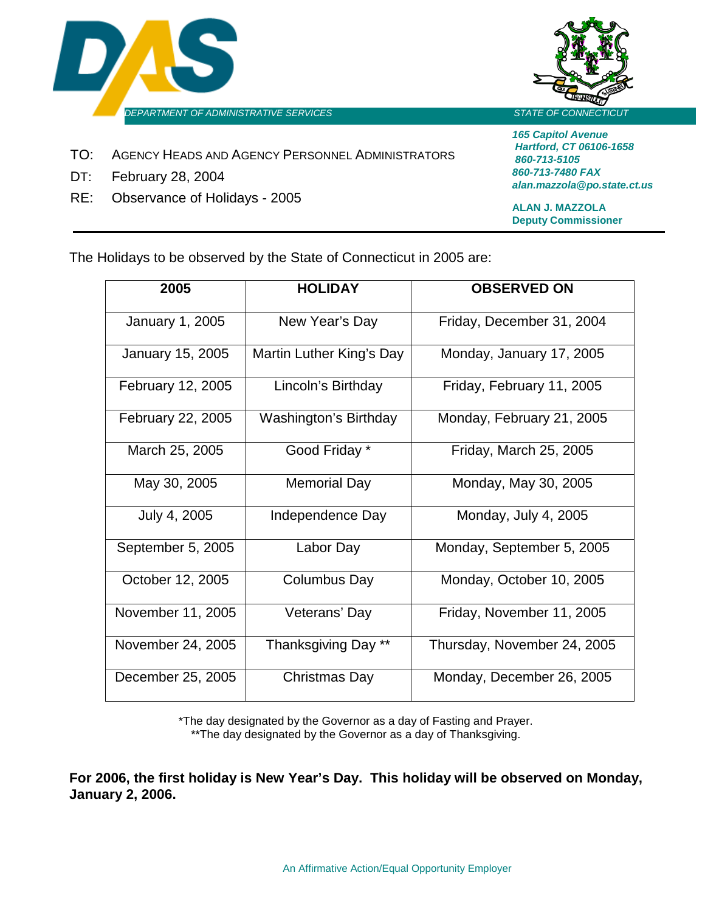



- TO: AGENCY HEADS AND AGENCY PERSONNEL ADMINISTRATORS
- DT: February 28, 2004
- RE: Observance of Holidays 2005

*165 Capitol Avenue Hartford, CT 06106-1658 860-713-5105 860-713-7480 FAX alan.mazzola@po.state.ct.us*

**ALAN J. MAZZOLA Deputy Commissioner**

The Holidays to be observed by the State of Connecticut in 2005 are:

| 2005              | <b>HOLIDAY</b>           | <b>OBSERVED ON</b>          |
|-------------------|--------------------------|-----------------------------|
| January 1, 2005   | New Year's Day           | Friday, December 31, 2004   |
| January 15, 2005  | Martin Luther King's Day | Monday, January 17, 2005    |
| February 12, 2005 | Lincoln's Birthday       | Friday, February 11, 2005   |
| February 22, 2005 | Washington's Birthday    | Monday, February 21, 2005   |
| March 25, 2005    | Good Friday *            | Friday, March 25, 2005      |
| May 30, 2005      | Memorial Day             | Monday, May 30, 2005        |
| July 4, 2005      | Independence Day         | Monday, July 4, 2005        |
| September 5, 2005 | Labor Day                | Monday, September 5, 2005   |
| October 12, 2005  | Columbus Day             | Monday, October 10, 2005    |
| November 11, 2005 | Veterans' Day            | Friday, November 11, 2005   |
| November 24, 2005 | Thanksgiving Day **      | Thursday, November 24, 2005 |
| December 25, 2005 | Christmas Day            | Monday, December 26, 2005   |

\*The day designated by the Governor as a day of Fasting and Prayer. \*\*The day designated by the Governor as a day of Thanksgiving.

**For 2006, the first holiday is New Year's Day. This holiday will be observed on Monday, January 2, 2006.**